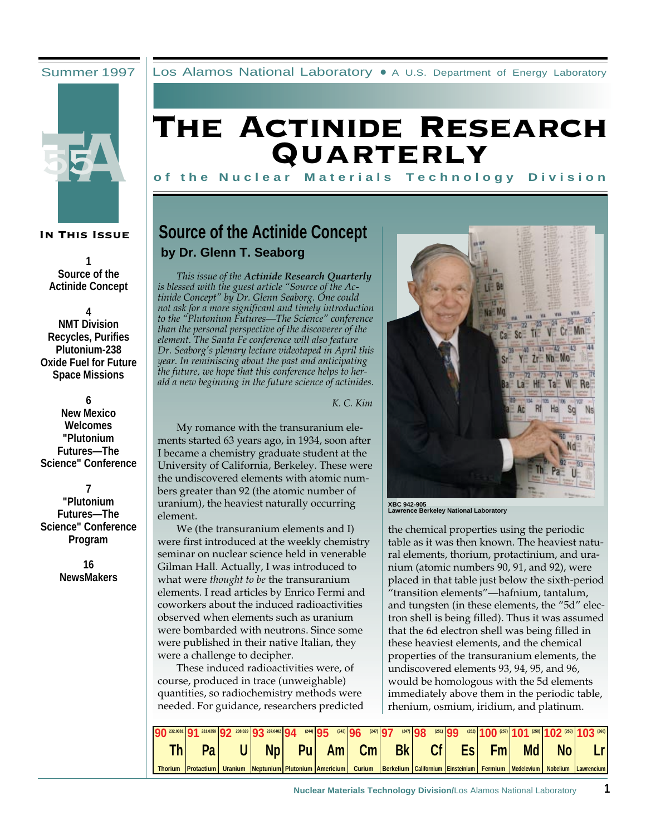

### In This Issue

**1 Source of the Actinide Concept**

**4 NMT Division Recycles, Purifies Plutonium-238 Oxide Fuel for Future Space Missions**

**6 New Mexico Welcomes "Plutonium Futures—The Science" Conference**

**7 "Plutonium Futures—The Science" Conference Program**

> **16 NewsMakers**

### Summer 1997 | Los Alamos National Laboratory • A U.S. Department of Energy Laboratory

# The Actinide Research Quarterly

**the Nuclear Materials Technology Division** 

### **Source of the Actinide Concept by Dr. Glenn T. Seaborg**

*This issue of the Actinide Research Quarterly is blessed with the guest article "Source of the Actinide Concept" by Dr. Glenn Seaborg. One could not ask for a more significant and timely introduction to the "Plutonium Futures—The Science" conference than the personal perspective of the discoverer of the element. The Santa Fe conference will also feature Dr. Seaborg's plenary lecture videotaped in April this year. In reminiscing about the past and anticipating the future, we hope that this conference helps to herald a new beginning in the future science of actinides.*

 *K. C. Kim*

My romance with the transuranium elements started 63 years ago, in 1934, soon after I became a chemistry graduate student at the University of California, Berkeley. These were the undiscovered elements with atomic numbers greater than 92 (the atomic number of uranium), the heaviest naturally occurring element.

We (the transuranium elements and I) were first introduced at the weekly chemistry seminar on nuclear science held in venerable Gilman Hall. Actually, I was introduced to what were *thought to be* the transuranium elements. I read articles by Enrico Fermi and coworkers about the induced radioactivities observed when elements such as uranium were bombarded with neutrons. Since some were published in their native Italian, they were a challenge to decipher.

These induced radioactivities were, of course, produced in trace (unweighable) quantities, so radiochemistry methods were needed. For guidance, researchers predicted



**XBC 942-905 Lawrence Berkeley National Laboratory**

the chemical properties using the periodic table as it was then known. The heaviest natural elements, thorium, protactinium, and uranium (atomic numbers 90, 91, and 92), were placed in that table just below the sixth-period "transition elements"—hafnium, tantalum, and tungsten (in these elements, the "5d" electron shell is being filled). Thus it was assumed that the 6d electron shell was being filled in these heaviest elements, and the chemical properties of the transuranium elements, the undiscovered elements 93, 94, 95, and 96, would be homologous with the 5d elements immediately above them in the periodic table, rhenium, osmium, iridium, and platinum.

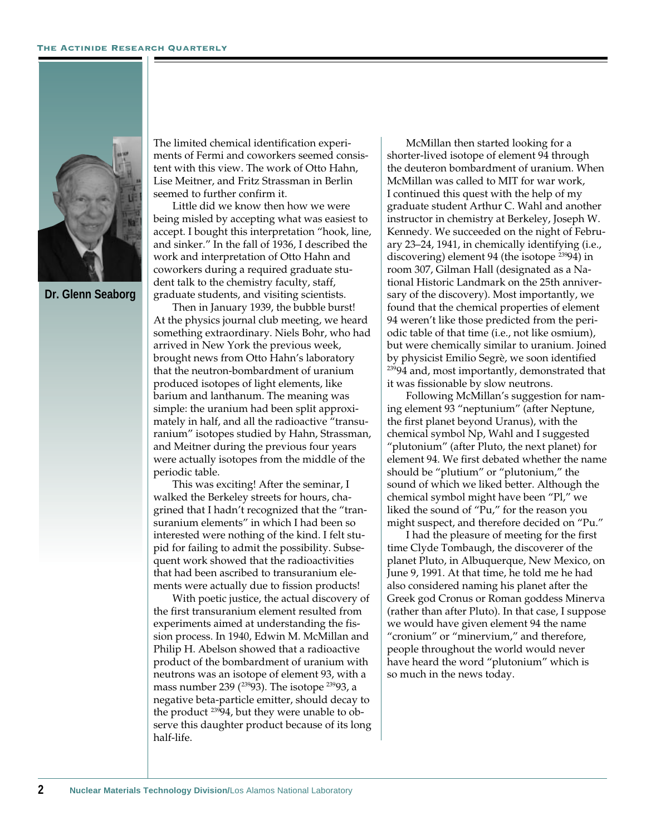

**Dr. Glenn Seaborg**

The limited chemical identification experiments of Fermi and coworkers seemed consistent with this view. The work of Otto Hahn, Lise Meitner, and Fritz Strassman in Berlin seemed to further confirm it.

Little did we know then how we were being misled by accepting what was easiest to accept. I bought this interpretation "hook, line, and sinker." In the fall of 1936, I described the work and interpretation of Otto Hahn and coworkers during a required graduate student talk to the chemistry faculty, staff, graduate students, and visiting scientists.

Then in January 1939, the bubble burst! At the physics journal club meeting, we heard something extraordinary. Niels Bohr, who had arrived in New York the previous week, brought news from Otto Hahn's laboratory that the neutron-bombardment of uranium produced isotopes of light elements, like barium and lanthanum. The meaning was simple: the uranium had been split approximately in half, and all the radioactive "transuranium" isotopes studied by Hahn, Strassman, and Meitner during the previous four years were actually isotopes from the middle of the periodic table.

This was exciting! After the seminar, I walked the Berkeley streets for hours, chagrined that I hadn't recognized that the "transuranium elements" in which I had been so interested were nothing of the kind. I felt stupid for failing to admit the possibility. Subsequent work showed that the radioactivities that had been ascribed to transuranium elements were actually due to fission products!

With poetic justice, the actual discovery of the first transuranium element resulted from experiments aimed at understanding the fission process. In 1940, Edwin M. McMillan and Philip H. Abelson showed that a radioactive product of the bombardment of uranium with neutrons was an isotope of element 93, with a mass number 239 ( $239$ ). The isotope  $239$ , a negative beta-particle emitter, should decay to the product <sup>239</sup>94, but they were unable to observe this daughter product because of its long half-life.

McMillan then started looking for a shorter-lived isotope of element 94 through the deuteron bombardment of uranium. When McMillan was called to MIT for war work, I continued this quest with the help of my graduate student Arthur C. Wahl and another instructor in chemistry at Berkeley, Joseph W. Kennedy. We succeeded on the night of February 23–24, 1941, in chemically identifying (i.e., discovering) element 94 (the isotope 23994) in room 307, Gilman Hall (designated as a National Historic Landmark on the 25th anniversary of the discovery). Most importantly, we found that the chemical properties of element 94 weren't like those predicted from the periodic table of that time (i.e., not like osmium), but were chemically similar to uranium. Joined by physicist Emilio Segrè, we soon identified  $23994$  and, most importantly, demonstrated that it was fissionable by slow neutrons.

Following McMillan's suggestion for naming element 93 "neptunium" (after Neptune, the first planet beyond Uranus), with the chemical symbol Np, Wahl and I suggested "plutonium" (after Pluto, the next planet) for element 94. We first debated whether the name should be "plutium" or "plutonium," the sound of which we liked better. Although the chemical symbol might have been "Pl," we liked the sound of "Pu," for the reason you might suspect, and therefore decided on "Pu."

I had the pleasure of meeting for the first time Clyde Tombaugh, the discoverer of the planet Pluto, in Albuquerque, New Mexico, on June 9, 1991. At that time, he told me he had also considered naming his planet after the Greek god Cronus or Roman goddess Minerva (rather than after Pluto). In that case, I suppose we would have given element 94 the name "cronium" or "minervium," and therefore, people throughout the world would never have heard the word "plutonium" which is so much in the news today.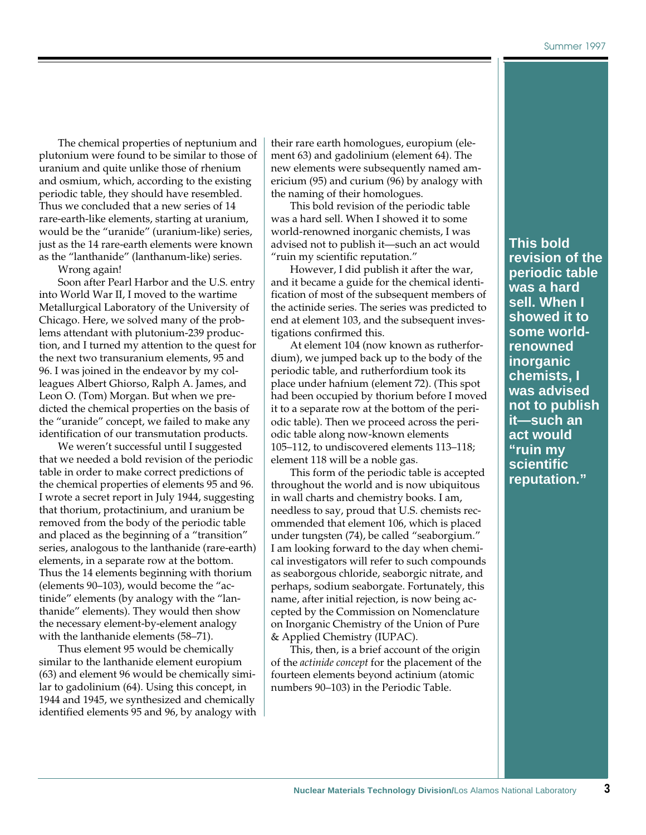The chemical properties of neptunium and plutonium were found to be similar to those of uranium and quite unlike those of rhenium and osmium, which, according to the existing periodic table, they should have resembled. Thus we concluded that a new series of 14 rare-earth-like elements, starting at uranium, would be the "uranide" (uranium-like) series, just as the 14 rare-earth elements were known as the "lanthanide" (lanthanum-like) series.

Wrong again!

Soon after Pearl Harbor and the U.S. entry into World War II, I moved to the wartime Metallurgical Laboratory of the University of Chicago. Here, we solved many of the problems attendant with plutonium-239 production, and I turned my attention to the quest for the next two transuranium elements, 95 and 96. I was joined in the endeavor by my colleagues Albert Ghiorso, Ralph A. James, and Leon O. (Tom) Morgan. But when we predicted the chemical properties on the basis of the "uranide" concept, we failed to make any identification of our transmutation products.

We weren't successful until I suggested that we needed a bold revision of the periodic table in order to make correct predictions of the chemical properties of elements 95 and 96. I wrote a secret report in July 1944, suggesting that thorium, protactinium, and uranium be removed from the body of the periodic table and placed as the beginning of a "transition" series, analogous to the lanthanide (rare-earth) elements, in a separate row at the bottom. Thus the 14 elements beginning with thorium (elements 90–103), would become the "actinide" elements (by analogy with the "lanthanide" elements). They would then show the necessary element-by-element analogy with the lanthanide elements (58–71).

Thus element 95 would be chemically similar to the lanthanide element europium (63) and element 96 would be chemically similar to gadolinium (64). Using this concept, in 1944 and 1945, we synthesized and chemically identified elements 95 and 96, by analogy with their rare earth homologues, europium (element 63) and gadolinium (element 64). The new elements were subsequently named americium (95) and curium (96) by analogy with the naming of their homologues.

This bold revision of the periodic table was a hard sell. When I showed it to some world-renowned inorganic chemists, I was advised not to publish it—such an act would "ruin my scientific reputation."

However, I did publish it after the war, and it became a guide for the chemical identification of most of the subsequent members of the actinide series. The series was predicted to end at element 103, and the subsequent investigations confirmed this.

At element 104 (now known as rutherfordium), we jumped back up to the body of the periodic table, and rutherfordium took its place under hafnium (element 72). (This spot had been occupied by thorium before I moved it to a separate row at the bottom of the periodic table). Then we proceed across the periodic table along now-known elements 105–112, to undiscovered elements 113–118; element 118 will be a noble gas.

This form of the periodic table is accepted throughout the world and is now ubiquitous in wall charts and chemistry books. I am, needless to say, proud that U.S. chemists recommended that element 106, which is placed under tungsten (74), be called "seaborgium." I am looking forward to the day when chemical investigators will refer to such compounds as seaborgous chloride, seaborgic nitrate, and perhaps, sodium seaborgate. Fortunately, this name, after initial rejection, is now being accepted by the Commission on Nomenclature on Inorganic Chemistry of the Union of Pure & Applied Chemistry (IUPAC).

This, then, is a brief account of the origin of the *actinide concept* for the placement of the fourteen elements beyond actinium (atomic numbers 90–103) in the Periodic Table.

**This bold revision of the periodic table was a hard sell. When I showed it to some worldrenowned inorganic chemists, I was advised not to publish it—such an act would "ruin my scientific reputation."**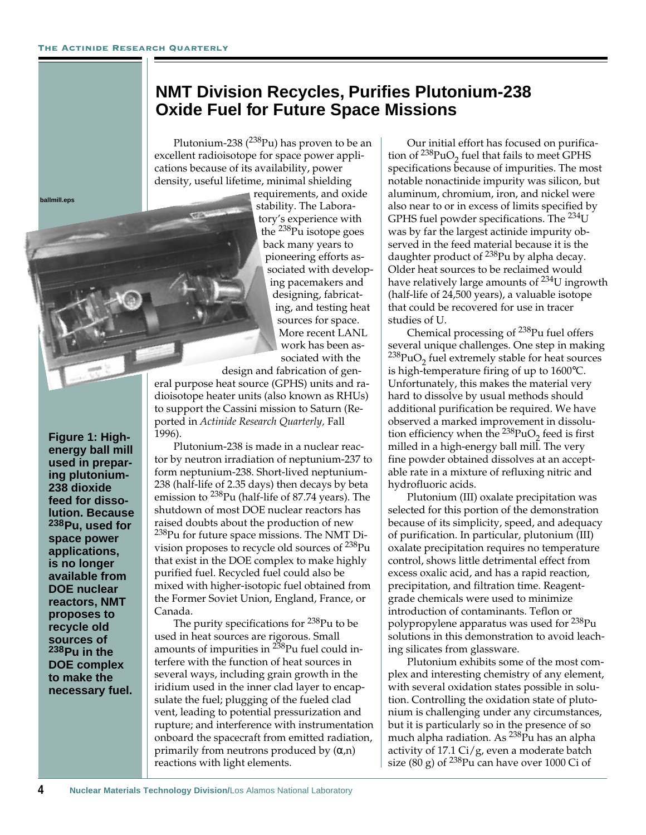### **NMT Division Recycles, Purifies Plutonium-238 Oxide Fuel for Future Space Missions**

Plutonium-238 ( $^{238}$ Pu) has proven to be an excellent radioisotope for space power applications because of its availability, power density, useful lifetime, minimal shielding

**ballmill.eps**

requirements, and oxide stability. The Laboratory's experience with the  $^{238}$ Pu isotope goes back many years to pioneering efforts associated with developing pacemakers and designing, fabricating, and testing heat sources for space. More recent LANL work has been associated with the design and fabrication of gen-

eral purpose heat source (GPHS) units and radioisotope heater units (also known as RHUs) to support the Cassini mission to Saturn (Reported in *Actinide Research Quarterly,* Fall 1996).

**Figure 1: Highenergy ball mill used in preparing plutonium-238 dioxide feed for dissolution. Because 238Pu, used for space power applications, is no longer available from DOE nuclear reactors, NMT proposes to recycle old sources of 238Pu in the DOE complex to make the necessary fuel.**

Plutonium-238 is made in a nuclear reactor by neutron irradiation of neptunium-237 to form neptunium-238. Short-lived neptunium-238 (half-life of 2.35 days) then decays by beta emission to  $^{238}$ Pu (half-life of 87.74 years). The shutdown of most DOE nuclear reactors has raised doubts about the production of new <sup>238</sup>Pu for future space missions. The NMT Division proposes to recycle old sources of <sup>238</sup>Pu that exist in the DOE complex to make highly purified fuel. Recycled fuel could also be mixed with higher-isotopic fuel obtained from the Former Soviet Union, England, France, or Canada.

The purity specifications for <sup>238</sup>Pu to be used in heat sources are rigorous. Small amounts of impurities in <sup>238</sup>Pu fuel could interfere with the function of heat sources in several ways, including grain growth in the iridium used in the inner clad layer to encapsulate the fuel; plugging of the fueled clad vent, leading to potential pressurization and rupture; and interference with instrumentation onboard the spacecraft from emitted radiation, primarily from neutrons produced by  $(\alpha, n)$ reactions with light elements.

Our initial effort has focused on purification of  $^{238}$ PuO<sub>2</sub> fuel that fails to meet GPHS specifications because of impurities. The most notable nonactinide impurity was silicon, but aluminum, chromium, iron, and nickel were also near to or in excess of limits specified by GPHS fuel powder specifications. The  $^{234}$ U was by far the largest actinide impurity observed in the feed material because it is the daughter product of  $^{238}$ Pu by alpha decay. Older heat sources to be reclaimed would have relatively large amounts of  $^{234}$ U ingrowth (half-life of 24,500 years), a valuable isotope that could be recovered for use in tracer studies of U.

Chemical processing of 238Pu fuel offers several unique challenges. One step in making  $238$ PuO<sub>2</sub> fuel extremely stable for heat sources is high-temperature firing of up to 1600°C. Unfortunately, this makes the material very hard to dissolve by usual methods should additional purification be required. We have observed a marked improvement in dissolution efficiency when the  $^{238}$ PuO<sub>2</sub> feed is first milled in a high-energy ball mill. The very fine powder obtained dissolves at an acceptable rate in a mixture of refluxing nitric and hydrofluoric acids.

Plutonium (III) oxalate precipitation was selected for this portion of the demonstration because of its simplicity, speed, and adequacy of purification. In particular, plutonium (III) oxalate precipitation requires no temperature control, shows little detrimental effect from excess oxalic acid, and has a rapid reaction, precipitation, and filtration time. Reagentgrade chemicals were used to minimize introduction of contaminants. Teflon or polypropylene apparatus was used for 238Pu solutions in this demonstration to avoid leaching silicates from glassware.

Plutonium exhibits some of the most complex and interesting chemistry of any element, with several oxidation states possible in solution. Controlling the oxidation state of plutonium is challenging under any circumstances, but it is particularly so in the presence of so much alpha radiation. As 238Pu has an alpha activity of 17.1 Ci/g, even a moderate batch size (80 g) of 238Pu can have over 1000 Ci of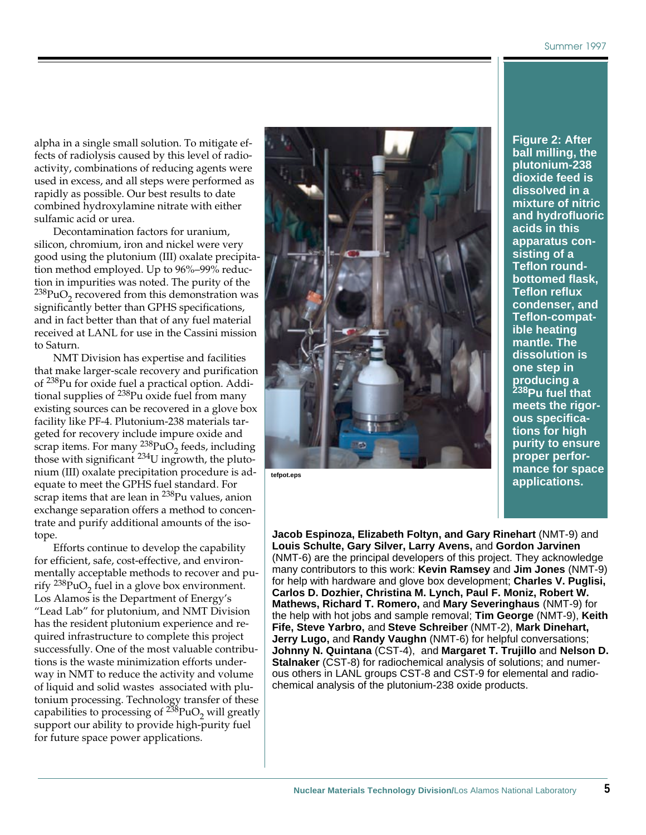alpha in a single small solution. To mitigate effects of radiolysis caused by this level of radioactivity, combinations of reducing agents were used in excess, and all steps were performed as rapidly as possible. Our best results to date combined hydroxylamine nitrate with either sulfamic acid or urea.

Decontamination factors for uranium, silicon, chromium, iron and nickel were very good using the plutonium (III) oxalate precipitation method employed. Up to 96%–99% reduction in impurities was noted. The purity of the  $^{238}$ PuO<sub>2</sub> recovered from this demonstration was significantly better than GPHS specifications, and in fact better than that of any fuel material received at LANL for use in the Cassini mission to Saturn.

NMT Division has expertise and facilities that make larger-scale recovery and purification of 238Pu for oxide fuel a practical option. Additional supplies of  $^{238}$ Pu oxide fuel from many existing sources can be recovered in a glove box facility like PF-4. Plutonium-238 materials targeted for recovery include impure oxide and scrap items. For many  $^{238}PuO<sub>2</sub>$  feeds, including those with significant  $^{234}$ U ingrowth, the plutonium (III) oxalate precipitation procedure is adequate to meet the GPHS fuel standard. For scrap items that are lean in <sup>238</sup>Pu values, anion exchange separation offers a method to concentrate and purify additional amounts of the isotope.

Efforts continue to develop the capability for efficient, safe, cost-effective, and environmentally acceptable methods to recover and purify  $^{238}$ PuO<sub>2</sub> fuel in a glove box environment. Los Alamos is the Department of Energy's "Lead Lab" for plutonium, and NMT Division has the resident plutonium experience and required infrastructure to complete this project successfully. One of the most valuable contributions is the waste minimization efforts underway in NMT to reduce the activity and volume of liquid and solid wastes associated with plutonium processing. Technology transfer of these capabilities to processing of  $^{238}$ PuO<sub>2</sub> will greatly support our ability to provide high-purity fuel for future space power applications.



**tefpot.eps**

**Jacob Espinoza, Elizabeth Foltyn, and Gary Rinehart** (NMT-9) and **Louis Schulte, Gary Silver, Larry Avens,** and **Gordon Jarvinen** (NMT-6) are the principal developers of this project. They acknowledge many contributors to this work: **Kevin Ramsey** and **Jim Jones** (NMT-9) for help with hardware and glove box development; **Charles V. Puglisi, Carlos D. Dozhier, Christina M. Lynch, Paul F. Moniz, Robert W. Mathews, Richard T. Romero,** and **Mary Severinghaus** (NMT-9) for the help with hot jobs and sample removal; **Tim George** (NMT-9), **Keith Fife, Steve Yarbro,** and **Steve Schreiber** (NMT-2), **Mark Dinehart, Jerry Lugo,** and **Randy Vaughn** (NMT-6) for helpful conversations; **Johnny N. Quintana** (CST-4), and **Margaret T. Trujillo** and **Nelson D. Stalnaker** (CST-8) for radiochemical analysis of solutions; and numerous others in LANL groups CST-8 and CST-9 for elemental and radiochemical analysis of the plutonium-238 oxide products.

**Figure 2: After ball milling, the plutonium-238 dioxide feed is dissolved in a mixture of nitric and hydrofluoric acids in this apparatus consisting of a Teflon roundbottomed flask, Teflon reflux condenser, and Teflon-compatible heating mantle. The dissolution is one step in producing a 238Pu fuel that meets the rigorous specifications for high purity to ensure proper performance for space applications.**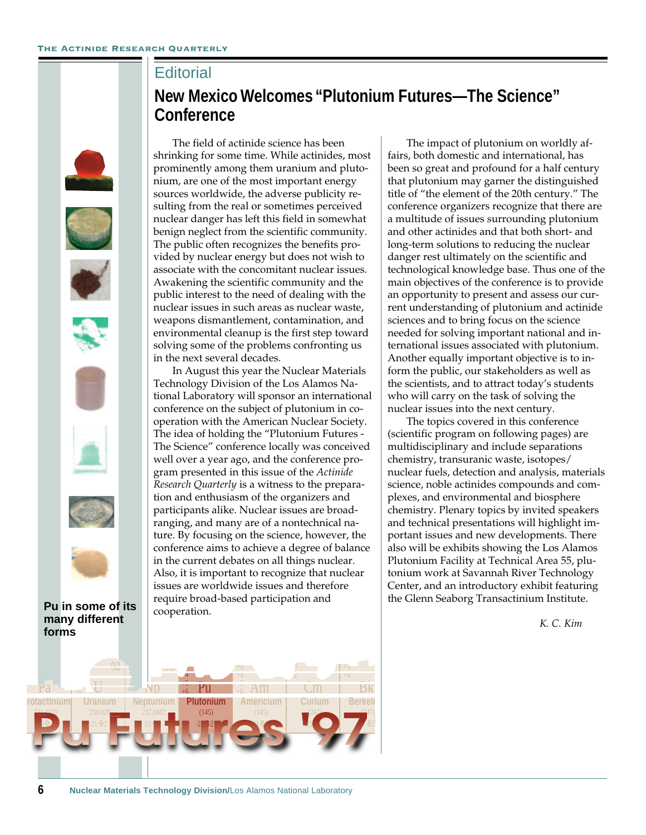### **Editorial**

## **New Mexico Welcomes "Plutonium Futures—The Science" Conference**

















**many different forms**

The field of actinide science has been shrinking for some time. While actinides, most prominently among them uranium and plutonium, are one of the most important energy sources worldwide, the adverse publicity resulting from the real or sometimes perceived nuclear danger has left this field in somewhat benign neglect from the scientific community. The public often recognizes the benefits provided by nuclear energy but does not wish to associate with the concomitant nuclear issues. Awakening the scientific community and the public interest to the need of dealing with the nuclear issues in such areas as nuclear waste, weapons dismantlement, contamination, and environmental cleanup is the first step toward solving some of the problems confronting us in the next several decades.

In August this year the Nuclear Materials Technology Division of the Los Alamos National Laboratory will sponsor an international conference on the subject of plutonium in cooperation with the American Nuclear Society. The idea of holding the "Plutonium Futures - The Science" conference locally was conceived well over a year ago, and the conference program presented in this issue of the *Actinide Research Quarterly* is a witness to the preparation and enthusiasm of the organizers and participants alike. Nuclear issues are broadranging, and many are of a nontechnical nature. By focusing on the science, however, the conference aims to achieve a degree of balance in the current debates on all things nuclear. Also, it is important to recognize that nuclear issues are worldwide issues and therefore require broad-based participation and cooperation.

The impact of plutonium on worldly affairs, both domestic and international, has been so great and profound for a half century that plutonium may garner the distinguished title of "the element of the 20th century." The conference organizers recognize that there are a multitude of issues surrounding plutonium and other actinides and that both short- and long-term solutions to reducing the nuclear danger rest ultimately on the scientific and technological knowledge base. Thus one of the main objectives of the conference is to provide an opportunity to present and assess our current understanding of plutonium and actinide sciences and to bring focus on the science needed for solving important national and international issues associated with plutonium. Another equally important objective is to inform the public, our stakeholders as well as the scientists, and to attract today's students who will carry on the task of solving the nuclear issues into the next century.

The topics covered in this conference (scientific program on following pages) are multidisciplinary and include separations chemistry, transuranic waste, isotopes/ nuclear fuels, detection and analysis, materials science, noble actinides compounds and complexes, and environmental and biosphere chemistry. Plenary topics by invited speakers and technical presentations will highlight important issues and new developments. There also will be exhibits showing the Los Alamos Plutonium Facility at Technical Area 55, plutonium work at Savannah River Technology Center, and an introductory exhibit featuring the Glenn Seaborg Transactinium Institute.

*K. C. Kim*

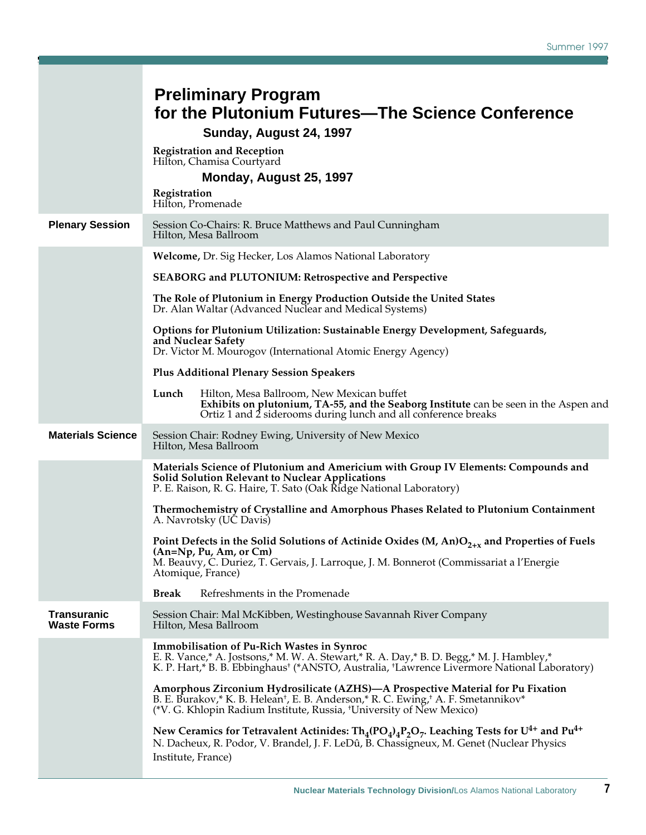|                                          | <b>Preliminary Program</b><br>for the Plutonium Futures—The Science Conference<br>Sunday, August 24, 1997                                                                                                                                                            |
|------------------------------------------|----------------------------------------------------------------------------------------------------------------------------------------------------------------------------------------------------------------------------------------------------------------------|
|                                          | <b>Registration and Reception</b><br>Hilton, Chamisa Courtyard<br>Monday, August 25, 1997<br>Registration<br>Hilton, Promenade                                                                                                                                       |
| <b>Plenary Session</b>                   | Session Co-Chairs: R. Bruce Matthews and Paul Cunningham<br>Hilton, Mesa Ballroom                                                                                                                                                                                    |
|                                          | <b>Welcome, Dr. Sig Hecker, Los Alamos National Laboratory</b>                                                                                                                                                                                                       |
|                                          | <b>SEABORG</b> and PLUTONIUM: Retrospective and Perspective                                                                                                                                                                                                          |
|                                          | The Role of Plutonium in Energy Production Outside the United States<br>Dr. Alan Waltar (Advanced Nuclear and Medical Systems)                                                                                                                                       |
|                                          | Options for Plutonium Utilization: Sustainable Energy Development, Safeguards,<br>and Nuclear Safety<br>Dr. Victor M. Mourogov (International Atomic Energy Agency)                                                                                                  |
|                                          | <b>Plus Additional Plenary Session Speakers</b>                                                                                                                                                                                                                      |
|                                          | Hilton, Mesa Ballroom, New Mexican buffet<br>Lunch<br>Exhibits on plutonium, TA-55, and the Seaborg Institute can be seen in the Aspen and<br>Ortiz 1 and 2 siderooms during lunch and all conference breaks                                                         |
| <b>Materials Science</b>                 | Session Chair: Rodney Ewing, University of New Mexico<br>Hilton, Mesa Ballroom                                                                                                                                                                                       |
|                                          | Materials Science of Plutonium and Americium with Group IV Elements: Compounds and<br><b>Solid Solution Relevant to Nuclear Applications</b><br>P. E. Raison, R. G. Haire, T. Sato (Oak Ridge National Laboratory)                                                   |
|                                          | Thermochemistry of Crystalline and Amorphous Phases Related to Plutonium Containment<br>A. Navrotsky (UC Davis)                                                                                                                                                      |
|                                          | Point Defects in the Solid Solutions of Actinide Oxides (M, An) $O_{2+x}$ and Properties of Fuels<br>$(An=Np, Pu, Am, or Cm)$<br>M. Beauvy, C. Duriez, T. Gervais, J. Larroque, J. M. Bonnerot (Commissariat a l'Energie<br>Atomique, France)                        |
|                                          | Refreshments in the Promenade<br><b>Break</b>                                                                                                                                                                                                                        |
| <b>Transuranic</b><br><b>Waste Forms</b> | Session Chair: Mal McKibben, Westinghouse Savannah River Company<br>Hilton, Mesa Ballroom                                                                                                                                                                            |
|                                          | <b>Immobilisation of Pu-Rich Wastes in Synroc</b><br>E. R. Vance,* A. Jostsons,* M. W. A. Stewart,* R. A. Day,* B. D. Begg,* M. J. Hambley,*<br>K. P. Hart,* B. B. Ebbinghaus <sup>†</sup> (*ANSTO, Australia, †Lawrence Livermore National Laboratory)              |
|                                          | Amorphous Zirconium Hydrosilicate (AZHS)—A Prospective Material for Pu Fixation<br>B. E. Burakov,* K. B. Helean <sup>†</sup> , E. B. Anderson,* R. C. Ewing, <sup>†</sup> A. F. Smetannikov*<br>(*V. G. Khlopin Radium Institute, Russia, †University of New Mexico) |
|                                          | New Ceramics for Tetravalent Actinides: $Th_4(PO_4)_4P_2O_7$ . Leaching Tests for U <sup>4+</sup> and Pu <sup>4+</sup><br>N. Dacheux, R. Podor, V. Brandel, J. F. LeDû, B. Chassigneux, M. Genet (Nuclear Physics<br>Institute, France)                              |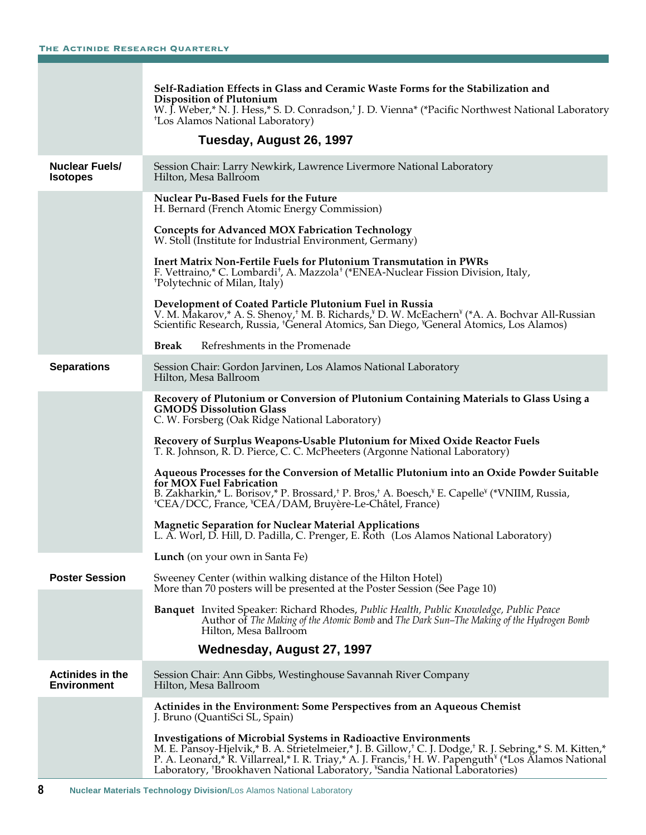|                                               | Self-Radiation Effects in Glass and Ceramic Waste Forms for the Stabilization and<br><b>Disposition of Plutonium</b><br>W. J. Weber,* N. J. Hess,* S. D. Conradson, <sup>†</sup> J. D. Vienna* (*Pacific Northwest National Laboratory<br><sup>†</sup> Los Alamos National Laboratory)<br>Tuesday, August 26, 1997                                                                                                                                |
|-----------------------------------------------|---------------------------------------------------------------------------------------------------------------------------------------------------------------------------------------------------------------------------------------------------------------------------------------------------------------------------------------------------------------------------------------------------------------------------------------------------|
| <b>Nuclear Fuels/</b><br><b>Isotopes</b>      | Session Chair: Larry Newkirk, Lawrence Livermore National Laboratory<br>Hilton, Mesa Ballroom                                                                                                                                                                                                                                                                                                                                                     |
|                                               | <b>Nuclear Pu-Based Fuels for the Future</b><br>H. Bernard (French Atomic Energy Commission)                                                                                                                                                                                                                                                                                                                                                      |
|                                               | <b>Concepts for Advanced MOX Fabrication Technology</b><br>W. Stoll (Institute for Industrial Environment, Germany)                                                                                                                                                                                                                                                                                                                               |
|                                               | <b>Inert Matrix Non-Fertile Fuels for Plutonium Transmutation in PWRs</b><br>F. Vettraino,* C. Lombardi <sup>†</sup> , A. Mazzola <sup>†</sup> (*ENEA-Nuclear Fission Division, Italy,<br><sup>†</sup> Polytechnic of Milan, Italy)                                                                                                                                                                                                               |
|                                               | Development of Coated Particle Plutonium Fuel in Russia<br>V. M. Makarov,* A. S. Shenoy, <sup>†</sup> M. B. Richards, <sup>*</sup> D. W. McEachern <sup>*</sup> (*A. A. Bochvar All-Russian<br>Scientific Research, Russia, <sup>†</sup> General Atomics, San Diego, <sup>†</sup> General Atomics, Los Alamos)                                                                                                                                    |
|                                               | <b>Break</b><br>Refreshments in the Promenade                                                                                                                                                                                                                                                                                                                                                                                                     |
| <b>Separations</b>                            | Session Chair: Gordon Jarvinen, Los Alamos National Laboratory<br>Hilton, Mesa Ballroom                                                                                                                                                                                                                                                                                                                                                           |
|                                               | Recovery of Plutonium or Conversion of Plutonium Containing Materials to Glass Using a<br><b>GMODS</b> Dissolution Glass<br>C. W. Forsberg (Oak Ridge National Laboratory)                                                                                                                                                                                                                                                                        |
|                                               | Recovery of Surplus Weapons-Usable Plutonium for Mixed Oxide Reactor Fuels<br>T. R. Johnson, R. D. Pierce, C. C. McPheeters (Argonne National Laboratory)                                                                                                                                                                                                                                                                                         |
|                                               | Aqueous Processes for the Conversion of Metallic Plutonium into an Oxide Powder Suitable<br>for MOX Fuel Fabrication<br>B. Zakharkin,* L. Borisov,* P. Brossard,† P. Bros,† A. Boesch,* E. Capelle <sup>*</sup> (*VNIIM, Russia,<br><sup>†</sup> CEA/DCC, France, <sup>¥</sup> CEA/DAM, Bruyère-Le-Châtel, France)                                                                                                                                |
|                                               | <b>Magnetic Separation for Nuclear Material Applications</b><br>L. A. Worl, D. Hill, D. Padilla, C. Prenger, E. Roth (Los Alamos National Laboratory)                                                                                                                                                                                                                                                                                             |
|                                               | Lunch (on your own in Santa Fe)                                                                                                                                                                                                                                                                                                                                                                                                                   |
| <b>Poster Session</b>                         | Sweeney Center (within walking distance of the Hilton Hotel)<br>More than 70 posters will be presented at the Poster Session (See Page 10)                                                                                                                                                                                                                                                                                                        |
|                                               | Banquet Invited Speaker: Richard Rhodes, Public Health, Public Knowledge, Public Peace<br>Author of The Making of the Atomic Bomb and The Dark Sun-The Making of the Hydrogen Bomb<br>Hilton, Mesa Ballroom                                                                                                                                                                                                                                       |
|                                               | Wednesday, August 27, 1997                                                                                                                                                                                                                                                                                                                                                                                                                        |
| <b>Actinides in the</b><br><b>Environment</b> | Session Chair: Ann Gibbs, Westinghouse Savannah River Company<br>Hilton, Mesa Ballroom                                                                                                                                                                                                                                                                                                                                                            |
|                                               | Actinides in the Environment: Some Perspectives from an Aqueous Chemist<br>J. Bruno (QuantiSci SL, Spain)                                                                                                                                                                                                                                                                                                                                         |
|                                               | <b>Investigations of Microbial Systems in Radioactive Environments</b><br>M. E. Pansoy-Hjelvik,* B. A. Strietelmeier,* J. B. Gillow, <sup>†</sup> C. J. Dodge, <sup>†</sup> R. J. Sebring,* S. M. Kitten,*<br>P. A. Leonard,* R. Villarreal,* I. R. Triay,* A. J. Francis, <sup>†</sup> H. W. Papenguth <sup>¥</sup> (*Los Alamos National<br>Laboratory, <sup>†</sup> Brookhaven National Laboratory, <sup>*</sup> Sandia National Laboratories) |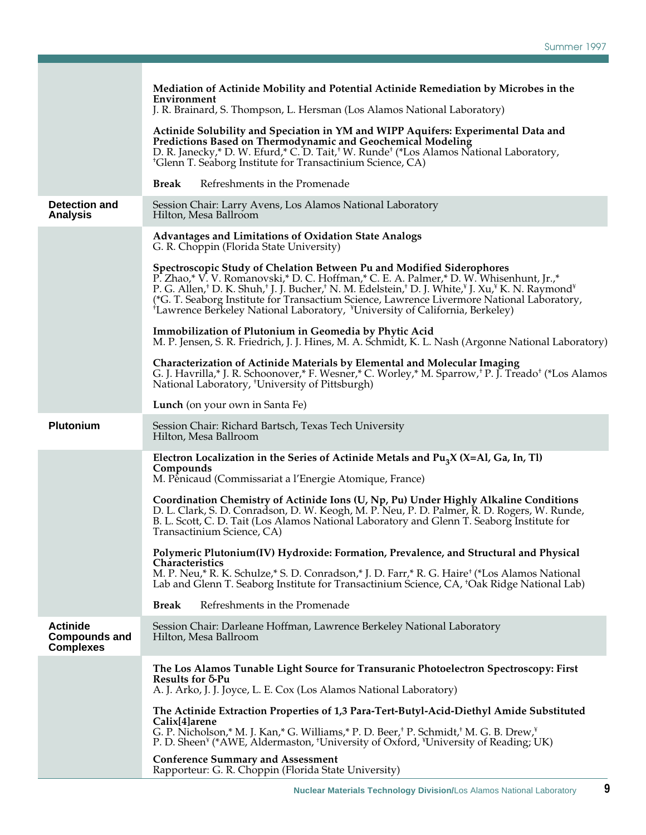|                                                             | Mediation of Actinide Mobility and Potential Actinide Remediation by Microbes in the<br>Environment<br>J. R. Brainard, S. Thompson, L. Hersman (Los Alamos National Laboratory)                                                                                                                                                                                                                                                                                                                                                                               |
|-------------------------------------------------------------|---------------------------------------------------------------------------------------------------------------------------------------------------------------------------------------------------------------------------------------------------------------------------------------------------------------------------------------------------------------------------------------------------------------------------------------------------------------------------------------------------------------------------------------------------------------|
|                                                             | Actinide Solubility and Speciation in YM and WIPP Aquifers: Experimental Data and<br>Predictions Based on Thermodynamic and Geochemical Modeling<br>D. R. Janecky,* D. W. Efurd,* C. D. Tait, <sup>†</sup> W. Runde <sup>†</sup> (*Los Alamos National Laboratory,<br><sup>+</sup> Glenn T. Seaborg Institute for Transactinium Science, CA)                                                                                                                                                                                                                  |
|                                                             | <b>Break</b><br>Refreshments in the Promenade                                                                                                                                                                                                                                                                                                                                                                                                                                                                                                                 |
| <b>Detection and</b><br><b>Analysis</b>                     | Session Chair: Larry Avens, Los Alamos National Laboratory<br>Hilton, Mesa Ballroom                                                                                                                                                                                                                                                                                                                                                                                                                                                                           |
|                                                             | <b>Advantages and Limitations of Oxidation State Analogs</b><br>G. R. Choppin (Florida State University)                                                                                                                                                                                                                                                                                                                                                                                                                                                      |
|                                                             | Spectroscopic Study of Chelation Between Pu and Modified Siderophores<br>P. Zhao,* V. V. Romanovski,* D. C. Hoffman,* C. E. A. Palmer,* D. W. Whisenhunt, Jr.,*<br>P. G. Allen, <sup>†</sup> D. K. Shuh, <sup>†</sup> J. J. Bucher, <sup>†</sup> N. M. Edelstein, <sup>†</sup> D. J. White, <sup>¥</sup> J. Xu, <sup>¥</sup> K. N. Raymond <sup>¥</sup><br>(*G. T. Seaborg Institute for Transactium Science, Lawrence Livermore National Laboratory,<br><sup>†</sup> Lawrence Berkeley National Laboratory, <sup>*</sup> University of California, Berkeley) |
|                                                             | Immobilization of Plutonium in Geomedia by Phytic Acid<br>M. P. Jensen, S. R. Friedrich, J. J. Hines, M. A. Schmidt, K. L. Nash (Argonne National Laboratory)                                                                                                                                                                                                                                                                                                                                                                                                 |
|                                                             | <b>Characterization of Actinide Materials by Elemental and Molecular Imaging</b><br>G. J. Havrilla,* J. R. Schoonover,* F. Wesner,* C. Worley,* M. Sparrow,† P. J. Treado† (*Los Alamos<br>National Laboratory, <sup>†</sup> University of Pittsburgh)                                                                                                                                                                                                                                                                                                        |
|                                                             | Lunch (on your own in Santa Fe)                                                                                                                                                                                                                                                                                                                                                                                                                                                                                                                               |
| Plutonium                                                   | Session Chair: Richard Bartsch, Texas Tech University<br>Hilton, Mesa Ballroom                                                                                                                                                                                                                                                                                                                                                                                                                                                                                |
|                                                             | Electron Localization in the Series of Actinide Metals and $Pu_3X$ (X=Al, Ga, In, Tl)<br>Compounds<br>M. Pénicaud (Commissariat a l'Energie Atomique, France)                                                                                                                                                                                                                                                                                                                                                                                                 |
|                                                             | Coordination Chemistry of Actinide Ions (U, Np, Pu) Under Highly Alkaline Conditions<br>D. L. Clark, S. D. Conradson, D. W. Keogh, M. P. Neu, P. D. Palmer, R. D. Rogers, W. Runde,<br>B. L. Scott, C. D. Tait (Los Alamos National Laboratory and Glenn T. Seaborg Institute for<br>Transactinium Science, CA)                                                                                                                                                                                                                                               |
|                                                             | Polymeric Plutonium(IV) Hydroxide: Formation, Prevalence, and Structural and Physical<br>Characteristics<br>M. P. Neu,* R. K. Schulze,* S. D. Conradson,* J. D. Farr,* R. G. Haire <sup>†</sup> (*Los Alamos National<br>Lab and Glenn T. Seaborg Institute for Transactinium Science, CA, <sup>†</sup> Oak Ridge National Lab)                                                                                                                                                                                                                               |
|                                                             | Refreshments in the Promenade<br><b>Break</b>                                                                                                                                                                                                                                                                                                                                                                                                                                                                                                                 |
| <b>Actinide</b><br><b>Compounds and</b><br><b>Complexes</b> | Session Chair: Darleane Hoffman, Lawrence Berkeley National Laboratory<br>Hilton, Mesa Ballroom                                                                                                                                                                                                                                                                                                                                                                                                                                                               |
|                                                             | The Los Alamos Tunable Light Source for Transuranic Photoelectron Spectroscopy: First<br>Results for $\delta$ -Pu<br>A. J. Arko, J. J. Joyce, L. E. Cox (Los Alamos National Laboratory)                                                                                                                                                                                                                                                                                                                                                                      |
|                                                             | The Actinide Extraction Properties of 1,3 Para-Tert-Butyl-Acid-Diethyl Amide Substituted<br>Calix[4]arene<br>G. P. Nicholson,* M. J. Kan,* G. Williams,* P. D. Beer,† P. Schmidt,† M. G. B. Drew, <sup>¥</sup><br>P. D. Sheen <sup>¥</sup> (*AWE, Aldermaston, <sup>†</sup> University of Oxford, <sup>*</sup> University of Reading; UK)                                                                                                                                                                                                                     |
|                                                             | <b>Conference Summary and Assessment</b><br>Rapporteur: G. R. Choppin (Florida State University)                                                                                                                                                                                                                                                                                                                                                                                                                                                              |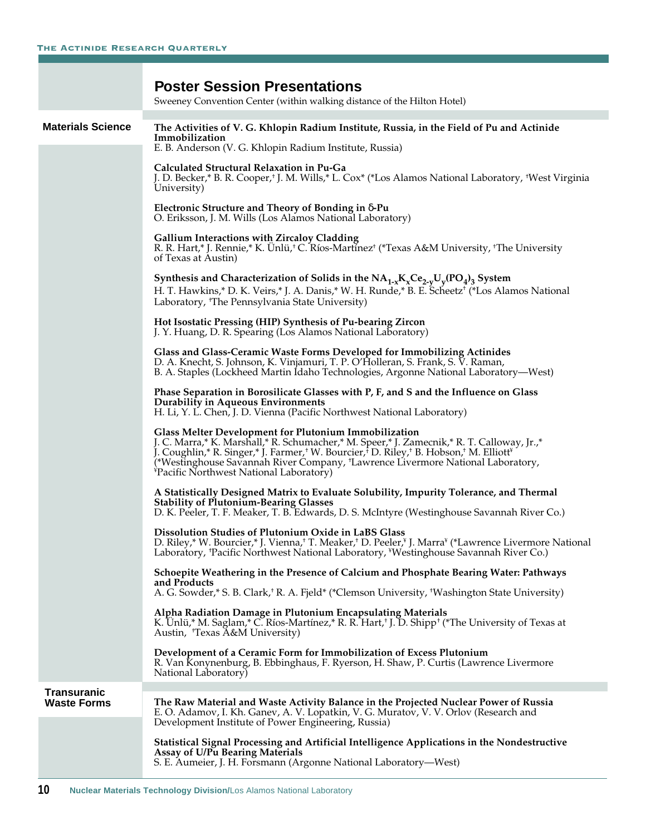|                                          | <b>Poster Session Presentations</b><br>Sweeney Convention Center (within walking distance of the Hilton Hotel)                                                                                                                                                                                                                                                                                              |
|------------------------------------------|-------------------------------------------------------------------------------------------------------------------------------------------------------------------------------------------------------------------------------------------------------------------------------------------------------------------------------------------------------------------------------------------------------------|
| <b>Materials Science</b>                 | The Activities of V. G. Khlopin Radium Institute, Russia, in the Field of Pu and Actinide<br>Immobilization<br>E. B. Anderson (V. G. Khlopin Radium Institute, Russia)                                                                                                                                                                                                                                      |
|                                          | Calculated Structural Relaxation in Pu-Ga<br>J. D. Becker,* B. R. Cooper,† J. M. Wills,* L. Cox* (*Los Alamos National Laboratory, †West Virginia<br>University)                                                                                                                                                                                                                                            |
|                                          | Electronic Structure and Theory of Bonding in $\delta$ -Pu<br>O. Eriksson, J. M. Wills (Los Alamos National Laboratory)                                                                                                                                                                                                                                                                                     |
|                                          | <b>Gallium Interactions with Zircaloy Cladding</b><br>R. R. Hart,* J. Rennie,* K. Ünlü,† C. Ríos-Martínez† (*Texas A&M University, †The University<br>of Texas at Austin)                                                                                                                                                                                                                                   |
|                                          | Synthesis and Characterization of Solids in the $NA_{1-x}K_xCe_{2-y}U_y(PO_4)_3$ System<br>H. T. Hawkins,* D. K. Veirs,* J. A. Danis,* W. H. Runde,* B. E. Scheetz <sup>†</sup> (*Los Alamos National<br>Laboratory, 'The Pennsylvania State University)                                                                                                                                                    |
|                                          | Hot Isostatic Pressing (HIP) Synthesis of Pu-bearing Zircon<br>J. Y. Huang, D. R. Spearing (Los Alamos National Laboratory)                                                                                                                                                                                                                                                                                 |
|                                          | Glass and Glass-Ceramic Waste Forms Developed for Immobilizing Actinides<br>D. A. Knecht, S. Johnson, K. Vinjamuri, T. P. O'Holleran, S. Frank, S. V. Raman,<br>B. A. Staples (Lockheed Martin Idaho Technologies, Argonne National Laboratory—West)                                                                                                                                                        |
|                                          | Phase Separation in Borosilicate Glasses with P, F, and S and the Influence on Glass<br>Durability in Aqueous Environments<br>H. Li, Y. L. Chen, J. D. Vienna (Pacific Northwest National Laboratory)                                                                                                                                                                                                       |
|                                          | <b>Glass Melter Development for Plutonium Immobilization</b><br>J. C. Marra,* K. Marshall,* R. Schumacher,* M. Speer,* J. Zamecnik,* R. T. Calloway, Jr.,*<br>J. Coughlin,* R. Singer,* J. Farmer,† W. Bourcier,† D. Riley,† B. Hobson,† M. Elliott <sup>¥</sup><br>(*Westinghouse Savannah River Company, †Lawrence Livermore National Laboratory,<br><i><b>*Pacific Northwest National Laboratory</b></i> |
|                                          | A Statistically Designed Matrix to Evaluate Solubility, Impurity Tolerance, and Thermal<br><b>Stability of Plutonium-Bearing Glasses</b><br>D. K. Peeler, T. F. Meaker, T. B. Edwards, D. S. McIntyre (Westinghouse Savannah River Co.)                                                                                                                                                                     |
|                                          | Dissolution Studies of Plutonium Oxide in LaBS Glass<br>D. Riley,* W. Bourcier,* J. Vienna,† T. Meaker,† D. Peeler,* J. Marra <sup>¥</sup> (*Lawrence Livermore National<br>Laboratory, <sup>†</sup> Pacific Northwest National Laboratory, <sup>*</sup> Westinghouse Savannah River Co.)                                                                                                                   |
|                                          | Schoepite Weathering in the Presence of Calcium and Phosphate Bearing Water: Pathways<br>and Products<br>A. G. Sowder,* S. B. Clark,† R. A. Fjeld* (*Clemson University, † Washington State University)                                                                                                                                                                                                     |
|                                          | Alpha Radiation Damage in Plutonium Encapsulating Materials<br>K. Ünlü,* M. Saglam,* C. Ríos-Martínez,* R. R. Hart,† J. D. Shipp† (*The University of Texas at<br>Austin, 'Texas A&M University)                                                                                                                                                                                                            |
|                                          | Development of a Ceramic Form for Immobilization of Excess Plutonium<br>R. Van Konynenburg, B. Ebbinghaus, F. Ryerson, H. Shaw, P. Curtis (Lawrence Livermore<br>National Laboratory)                                                                                                                                                                                                                       |
| <b>Transuranic</b><br><b>Waste Forms</b> | The Raw Material and Waste Activity Balance in the Projected Nuclear Power of Russia<br>E. O. Adamov, I. Kh. Ganev, A. V. Lopatkin, V. G. Muratov, V. V. Orlov (Research and<br>Development Institute of Power Engineering, Russia)                                                                                                                                                                         |
|                                          | Statistical Signal Processing and Artificial Intelligence Applications in the Nondestructive<br><b>Assay of U/Pu Bearing Materials</b><br>S. E. Aumeier, J. H. Forsmann (Argonne National Laboratory—West)                                                                                                                                                                                                  |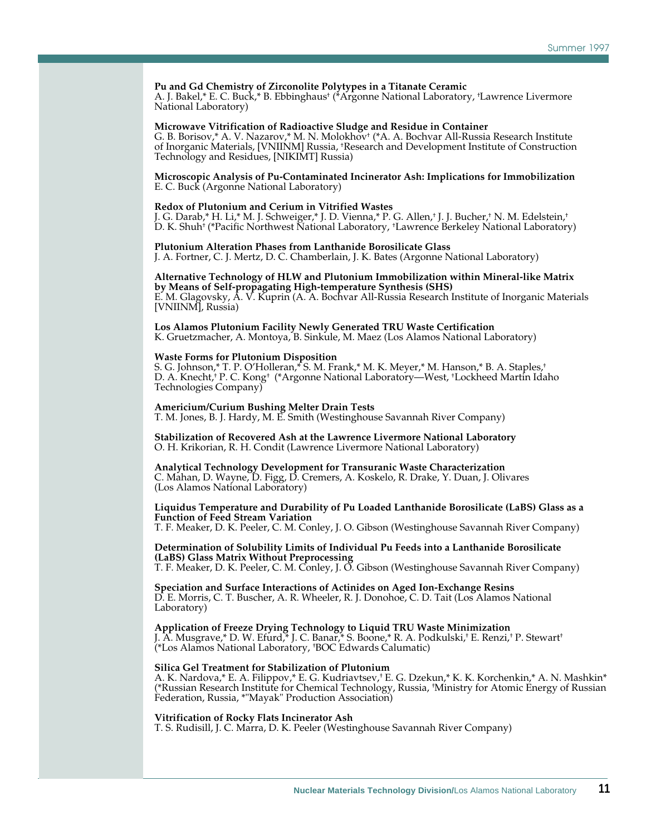#### **Pu and Gd Chemistry of Zirconolite Polytypes in a Titanate Ceramic**

A. J. Bakel,\* E. C. Buck,\* B. Ebbinghaus† (\*Argonne National Laboratory, † Lawrence Livermore National Laboratory)

#### **Microwave Vitrification of Radioactive Sludge and Residue in Container**

G. B. Borisov,\* A. V. Nazarov,\* M. N. Molokhov† (\*A. A. Bochvar All-Russia Research Institute of Inorganic Materials, [VNIINM] Russia, †Research and Development Institute of Construction Technology and Residues, [NIKIMT] Russia)

#### **Microscopic Analysis of Pu-Contaminated Incinerator Ash: Implications for Immobilization** E. C. Buck (Argonne National Laboratory)

#### **Redox of Plutonium and Cerium in Vitrified Wastes**

J. G. Darab,\* H. Li,\* M. J. Schweiger,\* J. D. Vienna,\* P. G. Allen,† J. J. Bucher,† N. M. Edelstein,† D. K. Shuh† (\*Pacific Northwest National Laboratory, †Lawrence Berkeley National Laboratory)

#### **Plutonium Alteration Phases from Lanthanide Borosilicate Glass**

J. A. Fortner, C. J. Mertz, D. C. Chamberlain, J. K. Bates (Argonne National Laboratory)

#### **Alternative Technology of HLW and Plutonium Immobilization within Mineral-like Matrix by Means of Self-propagating High-temperature Synthesis (SHS)**

E. M. Glagovsky, A. V. Kuprin (A. A. Bochvar All-Russia Research Institute of Inorganic Materials [VNIINM], Russia)

### **Los Alamos Plutonium Facility Newly Generated TRU Waste Certification**

K. Gruetzmacher, A. Montoya, B. Sinkule, M. Maez (Los Alamos National Laboratory)

#### **Waste Forms for Plutonium Disposition**

S. G. Johnson,\* T. P. O'Holleran,\* S. M. Frank,\* M. K. Meyer,\* M. Hanson,\* B. A. Staples,† D. A. Knecht,† P. C. Kong† (\*Argonne National Laboratory—West, †Lockheed Martin Idaho Technologies Company)

#### **Americium/Curium Bushing Melter Drain Tests**

T. M. Jones, B. J. Hardy, M. E. Smith (Westinghouse Savannah River Company)

#### **Stabilization of Recovered Ash at the Lawrence Livermore National Laboratory** O. H. Krikorian, R. H. Condit (Lawrence Livermore National Laboratory)

**Analytical Technology Development for Transuranic Waste Characterization** C. Mahan, D. Wayne, D. Figg, D. Cremers, A. Koskelo, R. Drake, Y. Duan, J. Olivares (Los Alamos National Laboratory)

#### **Liquidus Temperature and Durability of Pu Loaded Lanthanide Borosilicate (LaBS) Glass as a Function of Feed Stream Variation**

T. F. Meaker, D. K. Peeler, C. M. Conley, J. O. Gibson (Westinghouse Savannah River Company)

#### **Determination of Solubility Limits of Individual Pu Feeds into a Lanthanide Borosilicate (LaBS) Glass Matrix Without Preprocessing**

T. F. Meaker, D. K. Peeler, C. M. Conley, J. O. Gibson (Westinghouse Savannah River Company)

#### **Speciation and Surface Interactions of Actinides on Aged Ion-Exchange Resins** D. E. Morris, C. T. Buscher, A. R. Wheeler, R. J. Donohoe, C. D. Tait (Los Alamos National Laboratory)

**Application of Freeze Drying Technology to Liquid TRU Waste Minimization** J. A. Musgrave,\* D. W. Efurd,\* J. C. Banar,\* S. Boone,\* R. A. Podkulski,† E. Renzi,† P. Stewart† (\*Los Alamos National Laboratory, † BOC Edwards Calumatic)

#### **Silica Gel Treatment for Stabilization of Plutonium**

A. K. Nardova,\* E. A. Filippov,\* E. G. Kudriavtsev,† E. G. Dzekun,\* K. K. Korchenkin,\* A. N. Mashkin\* (\*Russian Research Institute for Chemical Technology, Russia, †Ministry for Atomic Energy of Russian<br>Federation, Russia, \*"Mayak" Production Association)

#### **Vitrification of Rocky Flats Incinerator Ash**

T. S. Rudisill, J. C. Marra, D. K. Peeler (Westinghouse Savannah River Company)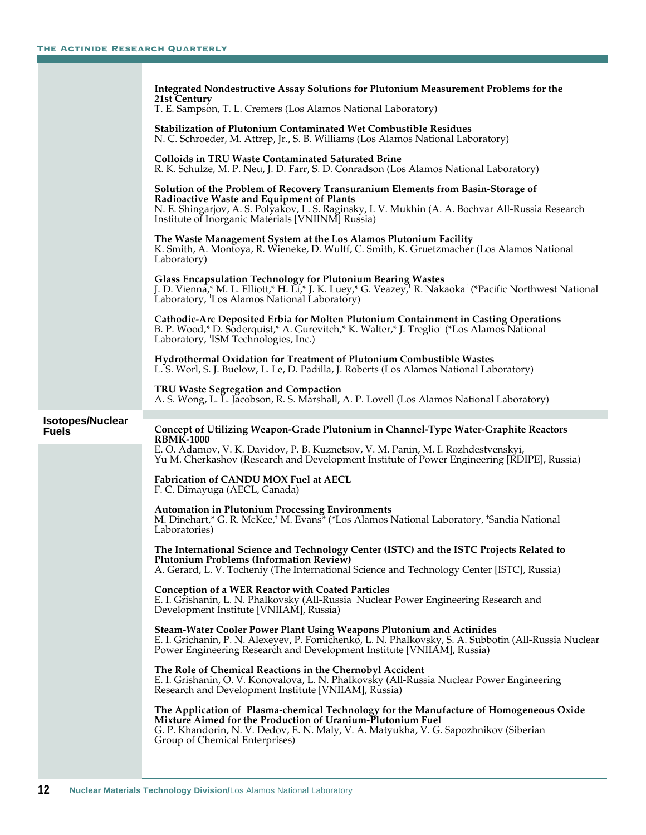|                         | Integrated Nondestructive Assay Solutions for Plutonium Measurement Problems for the<br>21st Century<br>T. E. Sampson, T. L. Cremers (Los Alamos National Laboratory)                                                                                                                     |
|-------------------------|-------------------------------------------------------------------------------------------------------------------------------------------------------------------------------------------------------------------------------------------------------------------------------------------|
|                         | <b>Stabilization of Plutonium Contaminated Wet Combustible Residues</b><br>N. C. Schroeder, M. Attrep, Jr., S. B. Williams (Los Alamos National Laboratory)                                                                                                                               |
|                         | Colloids in TRU Waste Contaminated Saturated Brine<br>R. K. Schulze, M. P. Neu, J. D. Farr, S. D. Conradson (Los Alamos National Laboratory)                                                                                                                                              |
|                         | Solution of the Problem of Recovery Transuranium Elements from Basin-Storage of<br>Radioactive Waste and Equipment of Plants<br>N. E. Shingarjov, A. S. Polyakov, L. S. Raginsky, I. V. Mukhin (A. A. Bochvar All-Russia Research<br>Institute of Inorganic Materials [VNIINM] Russia)    |
|                         | The Waste Management System at the Los Alamos Plutonium Facility<br>K. Smith, A. Montoya, R. Wieneke, D. Wulff, C. Smith, K. Gruetzmacher (Los Alamos National<br>Laboratory)                                                                                                             |
|                         | <b>Glass Encapsulation Technology for Plutonium Bearing Wastes</b><br>J. D. Vienna,* M. L. Elliott,* H. Li,* J. K. Luey,* G. Veazey, R. Nakaoka (*Pacific Northwest National<br>Laboratory, <sup>†</sup> Los Alamos National Laboratory)                                                  |
|                         | Cathodic-Arc Deposited Erbia for Molten Plutonium Containment in Casting Operations<br>B. P. Wood,* D. Soderquist,* A. Gurevitch,* K. Walter,* J. Treglio <sup>†</sup> (*Los Alamos National<br>Laboratory, <sup>†</sup> ISM Technologies, Inc.)                                          |
|                         | Hydrothermal Oxidation for Treatment of Plutonium Combustible Wastes<br>L. S. Worl, S. J. Buelow, L. Le, D. Padilla, J. Roberts (Los Alamos National Laboratory)                                                                                                                          |
|                         | TRU Waste Segregation and Compaction<br>A. S. Wong, L. L. Jacobson, R. S. Marshall, A. P. Lovell (Los Alamos National Laboratory)                                                                                                                                                         |
|                         |                                                                                                                                                                                                                                                                                           |
| <b>Isotopes/Nuclear</b> |                                                                                                                                                                                                                                                                                           |
| <b>Fuels</b>            | Concept of Utilizing Weapon-Grade Plutonium in Channel-Type Water-Graphite Reactors                                                                                                                                                                                                       |
|                         | <b>RBMK-1000</b><br>E. O. Adamov, V. K. Davidov, P. B. Kuznetsov, V. M. Panin, M. I. Rozhdestvenskyi,<br>Yu M. Cherkashov (Research and Development Institute of Power Engineering [RDIPE], Russia)                                                                                       |
|                         | Fabrication of CANDU MOX Fuel at AECL<br>F. C. Dimayuga (AECL, Canada)                                                                                                                                                                                                                    |
|                         | <b>Automation in Plutonium Processing Environments</b><br>M. Dinehart,* G. R. McKee,† M. Evans* (*Los Alamos National Laboratory, †Sandia National<br>Laboratories)                                                                                                                       |
|                         | The International Science and Technology Center (ISTC) and the ISTC Projects Related to<br><b>Plutonium Problems (Information Review)</b>                                                                                                                                                 |
|                         | A. Gerard, L. V. Tocheniy (The International Science and Technology Center [ISTC], Russia)<br><b>Conception of a WER Reactor with Coated Particles</b><br>E. I. Grishanin, L. N. Phalkovsky (All-Russia Nuclear Power Engineering Research and<br>Development Institute [VNIIAM], Russia) |
|                         | Steam-Water Cooler Power Plant Using Weapons Plutonium and Actinides<br>E. I. Grichanin, P. N. Alexeyev, P. Fomichenko, L. N. Phalkovsky, S. A. Subbotin (All-Russia Nuclear<br>Power Engineering Research and Development Institute [VNIIAM], Russia)                                    |
|                         | The Role of Chemical Reactions in the Chernobyl Accident<br>E. I. Grishanin, O. V. Konovalova, L. N. Phalkovsky (All-Russia Nuclear Power Engineering<br>Research and Development Institute [VNIIAM], Russia)                                                                             |
|                         | The Application of Plasma-chemical Technology for the Manufacture of Homogeneous Oxide<br>Mixture Aimed for the Production of Uranium-Plutonium Fuel<br>G. P. Khandorin, N. V. Dedov, E. N. Maly, V. A. Matyukha, V. G. Sapozhnikov (Siberian<br>Group of Chemical Enterprises)           |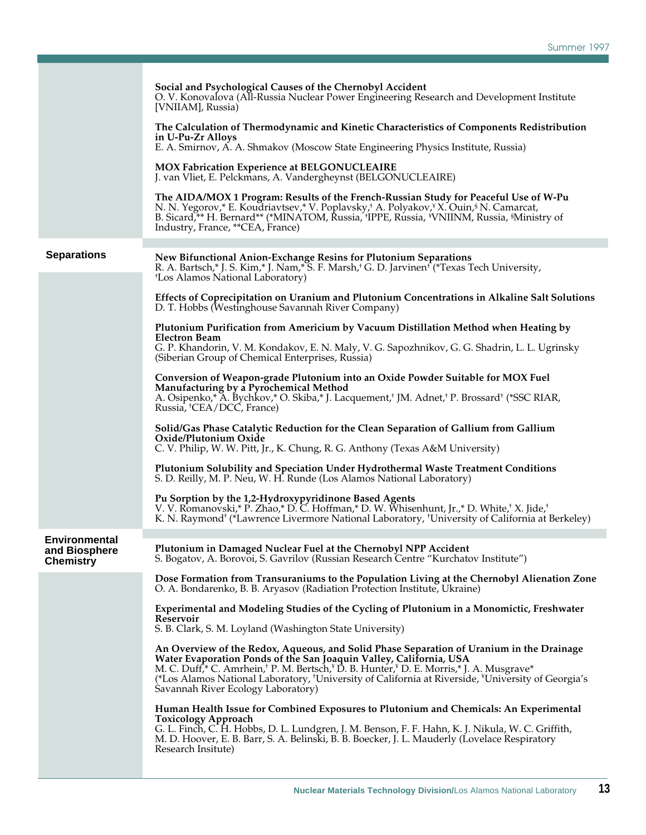|                                   | Social and Psychological Causes of the Chernobyl Accident<br>O. V. Konovalova (All-Russia Nuclear Power Engineering Research and Development Institute<br>[VNIIAM], Russia)                                                                                                                                                                                                                           |
|-----------------------------------|-------------------------------------------------------------------------------------------------------------------------------------------------------------------------------------------------------------------------------------------------------------------------------------------------------------------------------------------------------------------------------------------------------|
|                                   | The Calculation of Thermodynamic and Kinetic Characteristics of Components Redistribution<br>in U-Pu-Zr Alloys<br>E. A. Smirnov, A. A. Shmakov (Moscow State Engineering Physics Institute, Russia)                                                                                                                                                                                                   |
|                                   | <b>MOX Fabrication Experience at BELGONUCLEAIRE</b><br>J. van Vliet, E. Pelckmans, A. Vandergheynst (BELGONUCLEAIRE)                                                                                                                                                                                                                                                                                  |
|                                   | The AIDA/MOX 1 Program: Results of the French-Russian Study for Peaceful Use of W-Pu<br>N. N. Yegorov,* E. Koudriavtsev,* V. Poplavsky,† A. Polyakov,* X. Ouin,§ N. Camarcat,<br>B. Sicard,** H. Bernard** (*MINATOM, Russia, †IPPE, Russia, *VNIINM, Russia, *Ministry of<br>Industry, France, **CEA, France)                                                                                        |
|                                   |                                                                                                                                                                                                                                                                                                                                                                                                       |
| <b>Separations</b>                | New Bifunctional Anion-Exchange Resins for Plutonium Separations<br>R. A. Bartsch,* J. S. Kim,* J. Nam,* S. F. Marsh,† G. D. Jarvinenf (*Texas Tech University,<br><i><b>Los Alamos National Laboratory</b></i>                                                                                                                                                                                       |
|                                   | Effects of Coprecipitation on Uranium and Plutonium Concentrations in Alkaline Salt Solutions<br>D. T. Hobbs (Westinghouse Savannah River Company)                                                                                                                                                                                                                                                    |
|                                   | Plutonium Purification from Americium by Vacuum Distillation Method when Heating by                                                                                                                                                                                                                                                                                                                   |
|                                   | <b>Electron Beam</b><br>G. P. Khandorin, V. M. Kondakov, E. N. Maly, V. G. Sapozhnikov, G. G. Shadrin, L. L. Ugrinsky<br>(Siberian Group of Chemical Enterprises, Russia)                                                                                                                                                                                                                             |
|                                   | Conversion of Weapon-grade Plutonium into an Oxide Powder Suitable for MOX Fuel                                                                                                                                                                                                                                                                                                                       |
|                                   | Manufacturing by a Pyrochemical Method<br>A. Osipenko,* A. Bychkov,* O. Skiba,* J. Lacquement,† JM. Adnet,† P. Brossard† (*SSC RIAR,<br>Russia, <sup>+</sup> CEA/DCC, France)                                                                                                                                                                                                                         |
|                                   | Solid/Gas Phase Catalytic Reduction for the Clean Separation of Gallium from Gallium                                                                                                                                                                                                                                                                                                                  |
|                                   | Oxide/Plutonium Oxide<br>C. V. Philip, W. W. Pitt, Jr., K. Chung, R. G. Anthony (Texas A&M University)                                                                                                                                                                                                                                                                                                |
|                                   | Plutonium Solubility and Speciation Under Hydrothermal Waste Treatment Conditions<br>S. D. Reilly, M. P. Neu, W. H. Runde (Los Alamos National Laboratory)                                                                                                                                                                                                                                            |
|                                   | Pu Sorption by the 1,2-Hydroxypyridinone Based Agents<br>V. V. Romanovski,* P. Zhao,* D. C. Hoffman,* D. W. Whisenhunt, Jr.,* D. White,† X. Jide,†<br>K. N. Raymond <sup>†</sup> (*Lawrence Livermore National Laboratory, <sup>†</sup> University of California at Berkeley)                                                                                                                         |
| <b>Environmental</b>              |                                                                                                                                                                                                                                                                                                                                                                                                       |
| and Biosphere<br><b>Chemistry</b> | Plutonium in Damaged Nuclear Fuel at the Chernobyl NPP Accident<br>S. Bogatov, A. Borovoi, S. Gavrilov (Russian Research Centre "Kurchatov Institute")                                                                                                                                                                                                                                                |
|                                   | Dose Formation from Transuraniums to the Population Living at the Chernobyl Alienation Zone<br>O. A. Bondarenko, B. B. Aryasov (Radiation Protection Institute, Ukraine)                                                                                                                                                                                                                              |
|                                   | Experimental and Modeling Studies of the Cycling of Plutonium in a Monomictic, Freshwater<br>Reservoir                                                                                                                                                                                                                                                                                                |
|                                   | S. B. Clark, S. M. Loyland (Washington State University)                                                                                                                                                                                                                                                                                                                                              |
|                                   | An Overview of the Redox, Aqueous, and Solid Phase Separation of Uranium in the Drainage<br>Water Evaporation Ponds of the San Joaquin Valley, California, USA<br>M. C. Duff,* C. Amrhein,† P. M. Bertsch,* D. B. Hunter,* D. E. Morris,* J. A. Musgrave*<br>(*Los Alamos National Laboratory, †University of California at Riverside, †University of Georgia's<br>Savannah River Ecology Laboratory) |
|                                   | Human Health Issue for Combined Exposures to Plutonium and Chemicals: An Experimental<br><b>Toxicology Approach</b><br>G. L. Finch, C. H. Hobbs, D. L. Lundgren, J. M. Benson, F. F. Hahn, K. J. Nikula, W. C. Griffith,<br>M. D. Hoover, E. B. Barr, S. A. Belinski, B. B. Boecker, J. L. Mauderly (Lovelace Respiratory<br>Research Insitute)                                                       |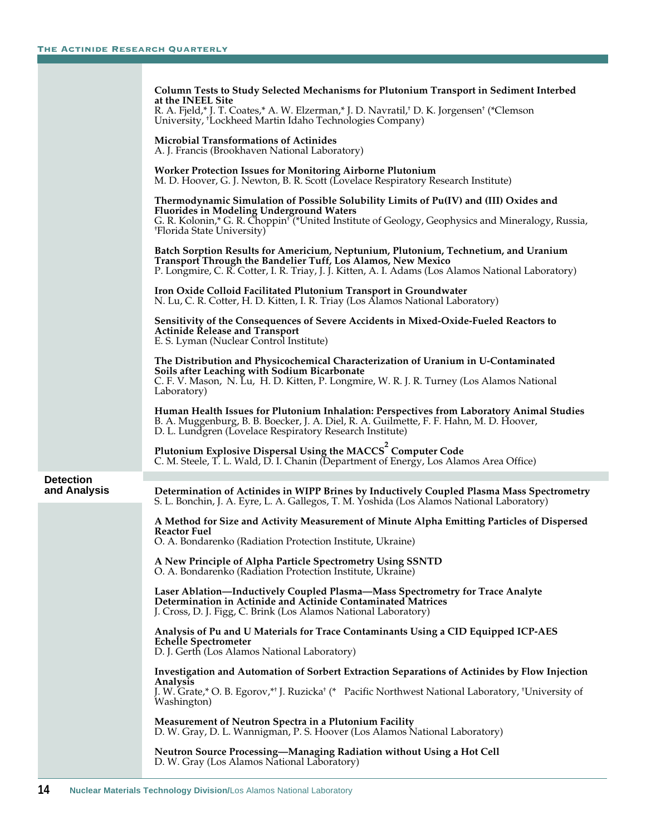|                                  | Column Tests to Study Selected Mechanisms for Plutonium Transport in Sediment Interbed<br>at the INEEL Site<br>R. A. Fjeld,* J. T. Coates,* A. W. Elzerman,* J. D. Navratil,† D. K. Jorgensen† (*Clemson<br>University, <sup>†</sup> Lockheed Martin Idaho Technologies Company)                   |
|----------------------------------|----------------------------------------------------------------------------------------------------------------------------------------------------------------------------------------------------------------------------------------------------------------------------------------------------|
|                                  | <b>Microbial Transformations of Actinides</b><br>A. J. Francis (Brookhaven National Laboratory)                                                                                                                                                                                                    |
|                                  | <b>Worker Protection Issues for Monitoring Airborne Plutonium</b><br>M. D. Hoover, G. J. Newton, B. R. Scott (Lovelace Respiratory Research Institute)                                                                                                                                             |
|                                  | Thermodynamic Simulation of Possible Solubility Limits of Pu(IV) and (III) Oxides and<br><b>Fluorides in Modeling Underground Waters</b><br>G. R. Kolonin,* G. R. Choppin <sup>+</sup> (*United Institute of Geology, Geophysics and Mineralogy, Russia,<br><sup>†</sup> Florida State University) |
|                                  | Batch Sorption Results for Americium, Neptunium, Plutonium, Technetium, and Uranium<br>Transport Through the Bandelier Tuff, Los Alamos, New Mexico<br>P. Longmire, C. R. Cotter, I. R. Triay, J. J. Kitten, A. I. Adams (Los Alamos National Laboratory)                                          |
|                                  | Iron Oxide Colloid Facilitated Plutonium Transport in Groundwater<br>N. Lu, C. R. Cotter, H. D. Kitten, I. R. Triay (Los Alamos National Laboratory)                                                                                                                                               |
|                                  | Sensitivity of the Consequences of Severe Accidents in Mixed-Oxide-Fueled Reactors to<br><b>Actinide Release and Transport</b><br>E. S. Lyman (Nuclear Control Institute)                                                                                                                          |
|                                  | The Distribution and Physicochemical Characterization of Uranium in U-Contaminated<br>Soils after Leaching with Sodium Bicarbonate<br>C. F. V. Mason, N. Lu, H. D. Kitten, P. Longmire, W. R. J. R. Turney (Los Alamos National<br>Laboratory)                                                     |
|                                  | Human Health Issues for Plutonium Inhalation: Perspectives from Laboratory Animal Studies<br>B. A. Muggenburg, B. B. Boecker, J. A. Diel, R. A. Guilmette, F. F. Hahn, M. D. Hoover,<br>D. L. Lundgren (Lovelace Respiratory Research Institute)                                                   |
|                                  | Plutonium Explosive Dispersal Using the MACCS <sup>2</sup> Computer Code<br>C. M. Steele, T. L. Wald, D. I. Chanin (Department of Energy, Los Alamos Area Office)                                                                                                                                  |
| <b>Detection</b><br>and Analysis | Determination of Actinides in WIPP Brines by Inductively Coupled Plasma Mass Spectrometry<br>S. L. Bonchin, J. A. Eyre, L. A. Gallegos, T. M. Yoshida (Los Alamos National Laboratory)                                                                                                             |
|                                  | A Method for Size and Activity Measurement of Minute Alpha Emitting Particles of Dispersed<br><b>Reactor Fuel</b><br>O. A. Bondarenko (Radiation Protection Institute, Ukraine)                                                                                                                    |
|                                  | A New Principle of Alpha Particle Spectrometry Using SSNTD<br>O. A. Bondarenko (Radiation Protection Institute, Ukraine)                                                                                                                                                                           |
|                                  | Laser Ablation—Inductively Coupled Plasma—Mass Spectrometry for Trace Analyte<br>Determination in Actinide and Actinide Contaminated Matrices<br>J. Cross, D. J. Figg, C. Brink (Los Alamos National Laboratory)                                                                                   |
|                                  | Analysis of Pu and U Materials for Trace Contaminants Using a CID Equipped ICP-AES<br><b>Echelle Spectrometer</b><br>D. J. Gerth (Los Alamos National Laboratory)                                                                                                                                  |
|                                  | Investigation and Automation of Sorbert Extraction Separations of Actinides by Flow Injection<br>Analysis<br>J. W. Grate,* O. B. Egorov,** J. Ruzicka† (* Pacific Northwest National Laboratory, †University of<br>Washington)                                                                     |
|                                  | <b>Measurement of Neutron Spectra in a Plutonium Facility</b><br>D. W. Gray, D. L. Wannigman, P. S. Hoover (Los Alamos National Laboratory)                                                                                                                                                        |
|                                  | Neutron Source Processing-Managing Radiation without Using a Hot Cell<br>D. W. Gray (Los Alamos National Laboratory)                                                                                                                                                                               |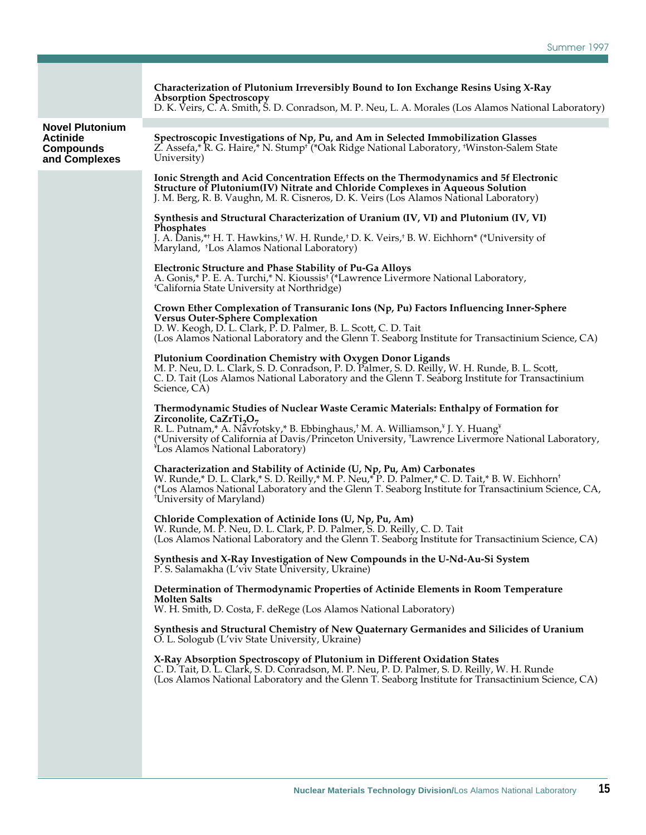|                                                                         | Characterization of Plutonium Irreversibly Bound to Ion Exchange Resins Using X-Ray<br><b>Absorption Spectroscopy</b><br>D. K. Veirs, C. A. Smith, S. D. Conradson, M. P. Neu, L. A. Morales (Los Alamos National Laboratory)                                                                                                                                                        |
|-------------------------------------------------------------------------|--------------------------------------------------------------------------------------------------------------------------------------------------------------------------------------------------------------------------------------------------------------------------------------------------------------------------------------------------------------------------------------|
| <b>Novel Plutonium</b><br>Actinide<br><b>Compounds</b><br>and Complexes | Spectroscopic Investigations of Np, Pu, and Am in Selected Immobilization Glasses<br>Z. Assefa,* R. G. Haire,* N. Stump <sup>+</sup> (*Oak Ridge National Laboratory, †Winston-Salem State<br>University)                                                                                                                                                                            |
|                                                                         | Ionic Strength and Acid Concentration Effects on the Thermodynamics and 5f Electronic<br>Structure of Plutonium(IV) Nitrate and Chloride Complexes in Aqueous Solution<br>J. M. Berg, R. B. Vaughn, M. R. Cisneros, D. K. Veirs (Los Alamos National Laboratory)                                                                                                                     |
|                                                                         | Synthesis and Structural Characterization of Uranium (IV, VI) and Plutonium (IV, VI)<br>Phosphates<br>J. A. Danis,*† H. T. Hawkins,† W. H. Runde,† D. K. Veirs,† B. W. Eichhorn* (*University of                                                                                                                                                                                     |
|                                                                         | Maryland, <sup>+</sup> Los Alamos National Laboratory)<br>Electronic Structure and Phase Stability of Pu-Ga Alloys<br>A. Gonis,* P. E. A. Turchi,* N. Kioussis <sup>†</sup> (*Lawrence Livermore National Laboratory,                                                                                                                                                                |
|                                                                         | <sup>†</sup> California State University at Northridge)<br>Crown Ether Complexation of Transuranic Ions (Np, Pu) Factors Influencing Inner-Sphere<br><b>Versus Outer-Sphere Complexation</b><br>D. W. Keogh, D. L. Clark, P. D. Palmer, B. L. Scott, C. D. Tait<br>(Los Alamos National Laboratory and the Glenn T. Seaborg Institute for Transactinium Science, CA)                 |
|                                                                         | Plutonium Coordination Chemistry with Oxygen Donor Ligands<br>M. P. Neu, D. L. Clark, S. D. Conradson, P. D. Palmer, S. D. Reilly, W. H. Runde, B. L. Scott,<br>C. D. Tait (Los Alamos National Laboratory and the Glenn T. Seaborg Institute for Transactinium<br>Science, CA)                                                                                                      |
|                                                                         | Thermodynamic Studies of Nuclear Waste Ceramic Materials: Enthalpy of Formation for<br>Zirconolite, CaZrTi <sub>2</sub> O <sub>7</sub><br>R. L. Putnam,* A. Nāvrotsky,* B. Ebbinghaus,† M. A. Williamson,* J. Y. Huang*<br>(*University of California at Davis/Princeton University, <sup>†</sup> Lawrence Livermore National Laboratory,<br><i>Los Alamos National Laboratory</i> ) |
|                                                                         | Characterization and Stability of Actinide (U, Np, Pu, Am) Carbonates<br>W. Runde,* D. L. Clark,* S. D. Reilly,* M. P. Neu,* P. D. Palmer,* C. D. Tait,* B. W. Eichhorn <sup>+</sup><br>(*Los Alamos National Laboratory and the Glenn T. Seaborg Institute for Transactinium Science, CA,<br><sup>†</sup> University of Maryland)                                                   |
|                                                                         | Chloride Complexation of Actinide Ions (U, Np, Pu, Am)<br>W. Runde, M. P. Neu, D. L. Clark, P. D. Palmer, S. D. Reilly, C. D. Tait<br>(Los Alamos National Laboratory and the Glenn T. Seaborg Institute for Transactinium Science, CA)                                                                                                                                              |
|                                                                         | Synthesis and X-Ray Investigation of New Compounds in the U-Nd-Au-Si System<br>P. S. Salamakha (L'viv State University, Ukraine)                                                                                                                                                                                                                                                     |
|                                                                         | Determination of Thermodynamic Properties of Actinide Elements in Room Temperature<br><b>Molten Salts</b><br>W. H. Smith, D. Costa, F. deRege (Los Alamos National Laboratory)                                                                                                                                                                                                       |
|                                                                         | Synthesis and Structural Chemistry of New Quaternary Germanides and Silicides of Uranium<br>O. L. Sologub (L'viv State University, Ukraine)                                                                                                                                                                                                                                          |
|                                                                         | X-Ray Absorption Spectroscopy of Plutonium in Different Oxidation States<br>C. D. Tait, D. L. Clark, S. D. Conradson, M. P. Neu, P. D. Palmer, S. D. Reilly, W. H. Runde<br>(Los Alamos National Laboratory and the Glenn T. Seaborg Institute for Transactinium Science, CA)                                                                                                        |
|                                                                         |                                                                                                                                                                                                                                                                                                                                                                                      |
|                                                                         |                                                                                                                                                                                                                                                                                                                                                                                      |
|                                                                         |                                                                                                                                                                                                                                                                                                                                                                                      |